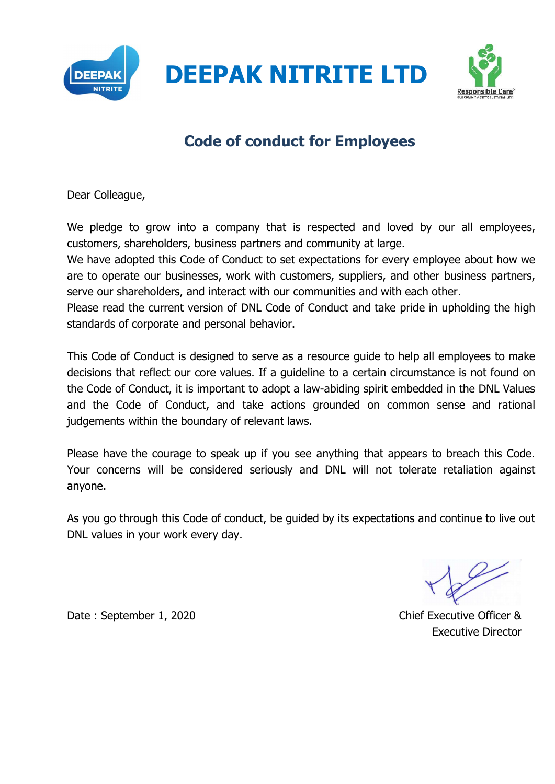



## Code of conduct for Employees

Dear Colleague,

We pledge to grow into a company that is respected and loved by our all employees, customers, shareholders, business partners and community at large.

We have adopted this Code of Conduct to set expectations for every employee about how we are to operate our businesses, work with customers, suppliers, and other business partners, serve our shareholders, and interact with our communities and with each other.

Please read the current version of DNL Code of Conduct and take pride in upholding the high standards of corporate and personal behavior.

This Code of Conduct is designed to serve as a resource guide to help all employees to make decisions that reflect our core values. If a guideline to a certain circumstance is not found on the Code of Conduct, it is important to adopt a law-abiding spirit embedded in the DNL Values and the Code of Conduct, and take actions grounded on common sense and rational judgements within the boundary of relevant laws.

Please have the courage to speak up if you see anything that appears to breach this Code. Your concerns will be considered seriously and DNL will not tolerate retaliation against anyone.

As you go through this Code of conduct, be guided by its expectations and continue to live out DNL values in your work every day.

Date : September 1, 2020

Executive Director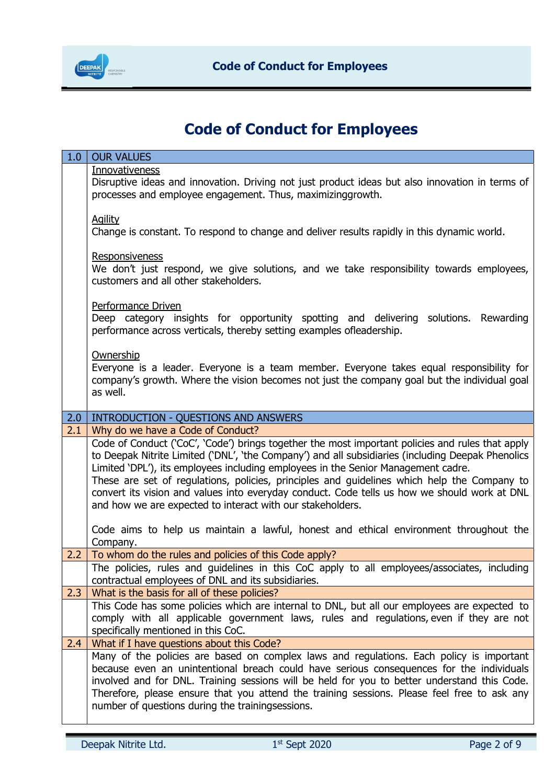

1.0 OUR VALUES

## Code of Conduct for Employees

| 1.0 <sub>1</sub> | <b>OUR VALUES</b>                                                                                                                                                                                                                                                                                                                                                                                                                                                                                                                                                                                                                                |
|------------------|--------------------------------------------------------------------------------------------------------------------------------------------------------------------------------------------------------------------------------------------------------------------------------------------------------------------------------------------------------------------------------------------------------------------------------------------------------------------------------------------------------------------------------------------------------------------------------------------------------------------------------------------------|
|                  | <b>Innovativeness</b><br>Disruptive ideas and innovation. Driving not just product ideas but also innovation in terms of<br>processes and employee engagement. Thus, maximizinggrowth.                                                                                                                                                                                                                                                                                                                                                                                                                                                           |
|                  | <b>Agility</b><br>Change is constant. To respond to change and deliver results rapidly in this dynamic world.                                                                                                                                                                                                                                                                                                                                                                                                                                                                                                                                    |
|                  | Responsiveness<br>We don't just respond, we give solutions, and we take responsibility towards employees,<br>customers and all other stakeholders.                                                                                                                                                                                                                                                                                                                                                                                                                                                                                               |
|                  | Performance Driven<br>Deep category insights for opportunity spotting and delivering solutions. Rewarding<br>performance across verticals, thereby setting examples ofleadership.                                                                                                                                                                                                                                                                                                                                                                                                                                                                |
|                  | Ownership<br>Everyone is a leader. Everyone is a team member. Everyone takes equal responsibility for<br>company's growth. Where the vision becomes not just the company goal but the individual goal<br>as well.                                                                                                                                                                                                                                                                                                                                                                                                                                |
| 2.0              | <b>INTRODUCTION - QUESTIONS AND ANSWERS</b>                                                                                                                                                                                                                                                                                                                                                                                                                                                                                                                                                                                                      |
| 2.1              | Why do we have a Code of Conduct?                                                                                                                                                                                                                                                                                                                                                                                                                                                                                                                                                                                                                |
|                  | Code of Conduct ('CoC', 'Code') brings together the most important policies and rules that apply<br>to Deepak Nitrite Limited ('DNL', 'the Company') and all subsidiaries (including Deepak Phenolics<br>Limited 'DPL'), its employees including employees in the Senior Management cadre.<br>These are set of regulations, policies, principles and guidelines which help the Company to<br>convert its vision and values into everyday conduct. Code tells us how we should work at DNL<br>and how we are expected to interact with our stakeholders.<br>Code aims to help us maintain a lawful, honest and ethical environment throughout the |
|                  |                                                                                                                                                                                                                                                                                                                                                                                                                                                                                                                                                                                                                                                  |
|                  | Company.                                                                                                                                                                                                                                                                                                                                                                                                                                                                                                                                                                                                                                         |
| 2.2              | To whom do the rules and policies of this Code apply?                                                                                                                                                                                                                                                                                                                                                                                                                                                                                                                                                                                            |
|                  | The policies, rules and guidelines in this CoC apply to all employees/associates, including<br>contractual employees of DNL and its subsidiaries.                                                                                                                                                                                                                                                                                                                                                                                                                                                                                                |
| 2.3              | What is the basis for all of these policies?                                                                                                                                                                                                                                                                                                                                                                                                                                                                                                                                                                                                     |
|                  | This Code has some policies which are internal to DNL, but all our employees are expected to<br>comply with all applicable government laws, rules and regulations, even if they are not<br>specifically mentioned in this CoC.                                                                                                                                                                                                                                                                                                                                                                                                                   |
| 2.4              | What if I have questions about this Code?                                                                                                                                                                                                                                                                                                                                                                                                                                                                                                                                                                                                        |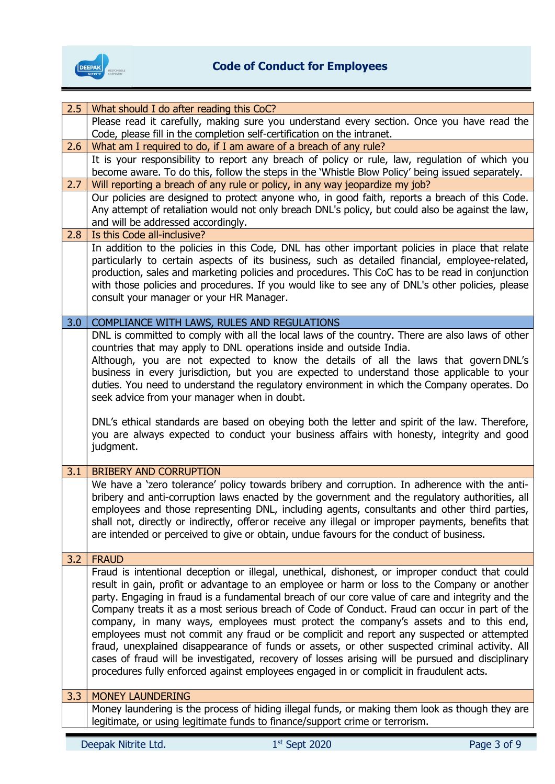

| 2.5 | What should I do after reading this CoC?                                                                                                                                                                                                                                                                                                                                                                                                                                                                                                                                                                                                                                                                                                                                                                                                                                                  |
|-----|-------------------------------------------------------------------------------------------------------------------------------------------------------------------------------------------------------------------------------------------------------------------------------------------------------------------------------------------------------------------------------------------------------------------------------------------------------------------------------------------------------------------------------------------------------------------------------------------------------------------------------------------------------------------------------------------------------------------------------------------------------------------------------------------------------------------------------------------------------------------------------------------|
|     | Please read it carefully, making sure you understand every section. Once you have read the<br>Code, please fill in the completion self-certification on the intranet.                                                                                                                                                                                                                                                                                                                                                                                                                                                                                                                                                                                                                                                                                                                     |
| 2.6 | What am I required to do, if I am aware of a breach of any rule?                                                                                                                                                                                                                                                                                                                                                                                                                                                                                                                                                                                                                                                                                                                                                                                                                          |
|     | It is your responsibility to report any breach of policy or rule, law, regulation of which you<br>become aware. To do this, follow the steps in the 'Whistle Blow Policy' being issued separately.                                                                                                                                                                                                                                                                                                                                                                                                                                                                                                                                                                                                                                                                                        |
| 2.7 | Will reporting a breach of any rule or policy, in any way jeopardize my job?                                                                                                                                                                                                                                                                                                                                                                                                                                                                                                                                                                                                                                                                                                                                                                                                              |
|     | Our policies are designed to protect anyone who, in good faith, reports a breach of this Code.<br>Any attempt of retaliation would not only breach DNL's policy, but could also be against the law,<br>and will be addressed accordingly.                                                                                                                                                                                                                                                                                                                                                                                                                                                                                                                                                                                                                                                 |
| 2.8 | Is this Code all-inclusive?                                                                                                                                                                                                                                                                                                                                                                                                                                                                                                                                                                                                                                                                                                                                                                                                                                                               |
|     | In addition to the policies in this Code, DNL has other important policies in place that relate<br>particularly to certain aspects of its business, such as detailed financial, employee-related,<br>production, sales and marketing policies and procedures. This CoC has to be read in conjunction<br>with those policies and procedures. If you would like to see any of DNL's other policies, please<br>consult your manager or your HR Manager.                                                                                                                                                                                                                                                                                                                                                                                                                                      |
| 3.0 | COMPLIANCE WITH LAWS, RULES AND REGULATIONS                                                                                                                                                                                                                                                                                                                                                                                                                                                                                                                                                                                                                                                                                                                                                                                                                                               |
|     | DNL is committed to comply with all the local laws of the country. There are also laws of other<br>countries that may apply to DNL operations inside and outside India.<br>Although, you are not expected to know the details of all the laws that govern DNL's<br>business in every jurisdiction, but you are expected to understand those applicable to your<br>duties. You need to understand the regulatory environment in which the Company operates. Do<br>seek advice from your manager when in doubt.<br>DNL's ethical standards are based on obeying both the letter and spirit of the law. Therefore,<br>you are always expected to conduct your business affairs with honesty, integrity and good<br>judgment.                                                                                                                                                                 |
| 3.1 | <b>BRIBERY AND CORRUPTION</b>                                                                                                                                                                                                                                                                                                                                                                                                                                                                                                                                                                                                                                                                                                                                                                                                                                                             |
|     | We have a 'zero tolerance' policy towards bribery and corruption. In adherence with the anti-<br>bribery and anti-corruption laws enacted by the government and the regulatory authorities, all<br>employees and those representing DNL, including agents, consultants and other third parties,<br>shall not, directly or indirectly, offeror receive any illegal or improper payments, benefits that<br>are intended or perceived to give or obtain, undue favours for the conduct of business.                                                                                                                                                                                                                                                                                                                                                                                          |
| 3.2 | <b>FRAUD</b>                                                                                                                                                                                                                                                                                                                                                                                                                                                                                                                                                                                                                                                                                                                                                                                                                                                                              |
|     | Fraud is intentional deception or illegal, unethical, dishonest, or improper conduct that could<br>result in gain, profit or advantage to an employee or harm or loss to the Company or another<br>party. Engaging in fraud is a fundamental breach of our core value of care and integrity and the<br>Company treats it as a most serious breach of Code of Conduct. Fraud can occur in part of the<br>company, in many ways, employees must protect the company's assets and to this end,<br>employees must not commit any fraud or be complicit and report any suspected or attempted<br>fraud, unexplained disappearance of funds or assets, or other suspected criminal activity. All<br>cases of fraud will be investigated, recovery of losses arising will be pursued and disciplinary<br>procedures fully enforced against employees engaged in or complicit in fraudulent acts. |
| 3.3 | <b>MONEY LAUNDERING</b>                                                                                                                                                                                                                                                                                                                                                                                                                                                                                                                                                                                                                                                                                                                                                                                                                                                                   |
|     | Money laundering is the process of hiding illegal funds, or making them look as though they are<br>legitimate, or using legitimate funds to finance/support crime or terrorism.                                                                                                                                                                                                                                                                                                                                                                                                                                                                                                                                                                                                                                                                                                           |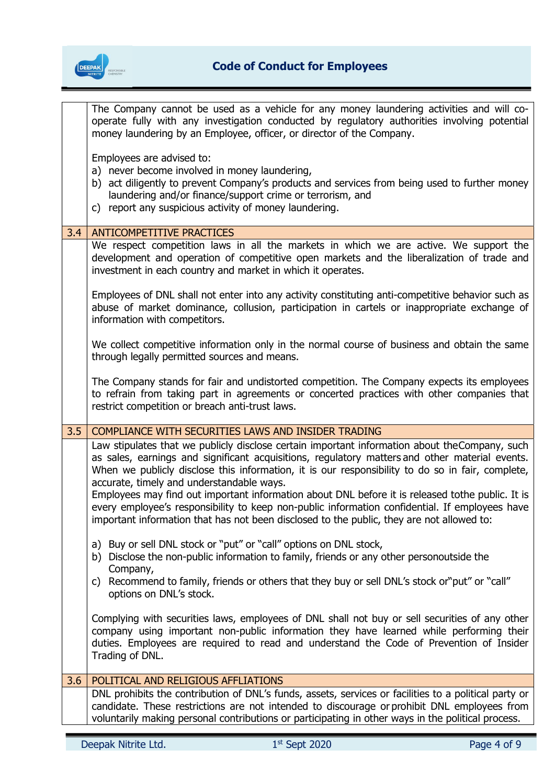

|     | The Company cannot be used as a vehicle for any money laundering activities and will co-<br>operate fully with any investigation conducted by regulatory authorities involving potential<br>money laundering by an Employee, officer, or director of the Company.                                                                                 |
|-----|---------------------------------------------------------------------------------------------------------------------------------------------------------------------------------------------------------------------------------------------------------------------------------------------------------------------------------------------------|
|     | Employees are advised to:<br>a) never become involved in money laundering,<br>b) act diligently to prevent Company's products and services from being used to further money<br>laundering and/or finance/support crime or terrorism, and<br>c) report any suspicious activity of money laundering.                                                |
| 3.4 | <b>ANTICOMPETITIVE PRACTICES</b>                                                                                                                                                                                                                                                                                                                  |
|     | We respect competition laws in all the markets in which we are active. We support the<br>development and operation of competitive open markets and the liberalization of trade and<br>investment in each country and market in which it operates.                                                                                                 |
|     | Employees of DNL shall not enter into any activity constituting anti-competitive behavior such as<br>abuse of market dominance, collusion, participation in cartels or inappropriate exchange of<br>information with competitors.                                                                                                                 |
|     | We collect competitive information only in the normal course of business and obtain the same<br>through legally permitted sources and means.                                                                                                                                                                                                      |
|     | The Company stands for fair and undistorted competition. The Company expects its employees<br>to refrain from taking part in agreements or concerted practices with other companies that<br>restrict competition or breach anti-trust laws.                                                                                                       |
|     |                                                                                                                                                                                                                                                                                                                                                   |
| 3.5 | COMPLIANCE WITH SECURITIES LAWS AND INSIDER TRADING                                                                                                                                                                                                                                                                                               |
|     | Law stipulates that we publicly disclose certain important information about the Company, such<br>as sales, earnings and significant acquisitions, regulatory matters and other material events.<br>When we publicly disclose this information, it is our responsibility to do so in fair, complete,<br>accurate, timely and understandable ways. |
|     | Employees may find out important information about DNL before it is released tothe public. It is<br>every employee's responsibility to keep non-public information confidential. If employees have<br>important information that has not been disclosed to the public, they are not allowed to:                                                   |
|     | a) Buy or sell DNL stock or "put" or "call" options on DNL stock,<br>b) Disclose the non-public information to family, friends or any other personoutside the                                                                                                                                                                                     |
|     | Company,<br>c) Recommend to family, friends or others that they buy or sell DNL's stock or "put" or "call"<br>options on DNL's stock.                                                                                                                                                                                                             |
|     | Complying with securities laws, employees of DNL shall not buy or sell securities of any other<br>company using important non-public information they have learned while performing their<br>duties. Employees are required to read and understand the Code of Prevention of Insider<br>Trading of DNL.                                           |
| 3.6 | POLITICAL AND RELIGIOUS AFFLIATIONS                                                                                                                                                                                                                                                                                                               |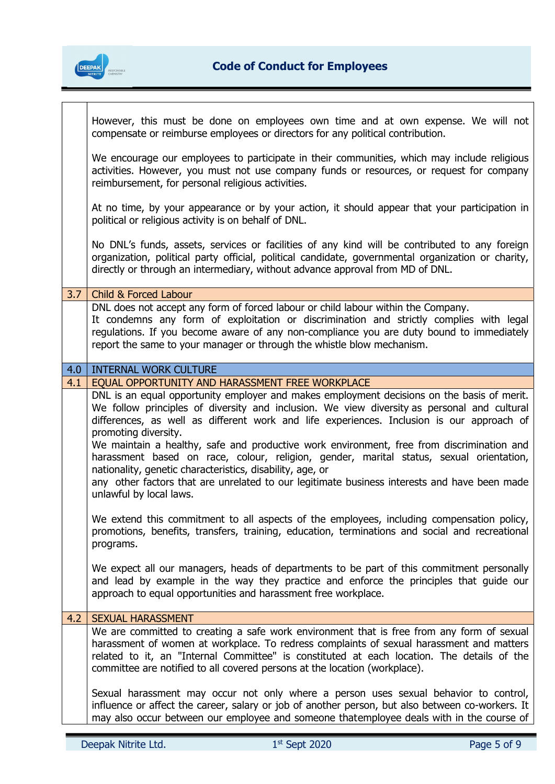

┱

 $\mathbf I$ 

|     | However, this must be done on employees own time and at own expense. We will not<br>compensate or reimburse employees or directors for any political contribution.                                                                                                                                                                                                                                                                                                                                                                                                                                                                                                                             |
|-----|------------------------------------------------------------------------------------------------------------------------------------------------------------------------------------------------------------------------------------------------------------------------------------------------------------------------------------------------------------------------------------------------------------------------------------------------------------------------------------------------------------------------------------------------------------------------------------------------------------------------------------------------------------------------------------------------|
|     | We encourage our employees to participate in their communities, which may include religious<br>activities. However, you must not use company funds or resources, or request for company<br>reimbursement, for personal religious activities.                                                                                                                                                                                                                                                                                                                                                                                                                                                   |
|     | At no time, by your appearance or by your action, it should appear that your participation in<br>political or religious activity is on behalf of DNL.                                                                                                                                                                                                                                                                                                                                                                                                                                                                                                                                          |
|     | No DNL's funds, assets, services or facilities of any kind will be contributed to any foreign<br>organization, political party official, political candidate, governmental organization or charity,<br>directly or through an intermediary, without advance approval from MD of DNL.                                                                                                                                                                                                                                                                                                                                                                                                           |
| 3.7 | <b>Child &amp; Forced Labour</b>                                                                                                                                                                                                                                                                                                                                                                                                                                                                                                                                                                                                                                                               |
|     | DNL does not accept any form of forced labour or child labour within the Company.<br>It condemns any form of exploitation or discrimination and strictly complies with legal<br>regulations. If you become aware of any non-compliance you are duty bound to immediately<br>report the same to your manager or through the whistle blow mechanism.                                                                                                                                                                                                                                                                                                                                             |
| 4.0 | <b>INTERNAL WORK CULTURE</b>                                                                                                                                                                                                                                                                                                                                                                                                                                                                                                                                                                                                                                                                   |
| 4.1 | EQUAL OPPORTUNITY AND HARASSMENT FREE WORKPLACE                                                                                                                                                                                                                                                                                                                                                                                                                                                                                                                                                                                                                                                |
|     | DNL is an equal opportunity employer and makes employment decisions on the basis of merit.<br>We follow principles of diversity and inclusion. We view diversity as personal and cultural<br>differences, as well as different work and life experiences. Inclusion is our approach of<br>promoting diversity.<br>We maintain a healthy, safe and productive work environment, free from discrimination and<br>harassment based on race, colour, religion, gender, marital status, sexual orientation,<br>nationality, genetic characteristics, disability, age, or<br>any other factors that are unrelated to our legitimate business interests and have been made<br>unlawful by local laws. |
|     | We extend this commitment to all aspects of the employees, including compensation policy,<br>promotions, benefits, transfers, training, education, terminations and social and recreational<br>programs.                                                                                                                                                                                                                                                                                                                                                                                                                                                                                       |
|     | We expect all our managers, heads of departments to be part of this commitment personally<br>and lead by example in the way they practice and enforce the principles that guide our<br>approach to equal opportunities and harassment free workplace.                                                                                                                                                                                                                                                                                                                                                                                                                                          |
| 4.2 | <b>SEXUAL HARASSMENT</b>                                                                                                                                                                                                                                                                                                                                                                                                                                                                                                                                                                                                                                                                       |
|     | We are committed to creating a safe work environment that is free from any form of sexual<br>harassment of women at workplace. To redress complaints of sexual harassment and matters<br>related to it, an "Internal Committee" is constituted at each location. The details of the<br>committee are notified to all covered persons at the location (workplace).                                                                                                                                                                                                                                                                                                                              |
|     | Sexual harassment may occur not only where a person uses sexual behavior to control,<br>influence or affect the career, salary or job of another person, but also between co-workers. It<br>may also occur between our employee and someone thatemployee deals with in the course of                                                                                                                                                                                                                                                                                                                                                                                                           |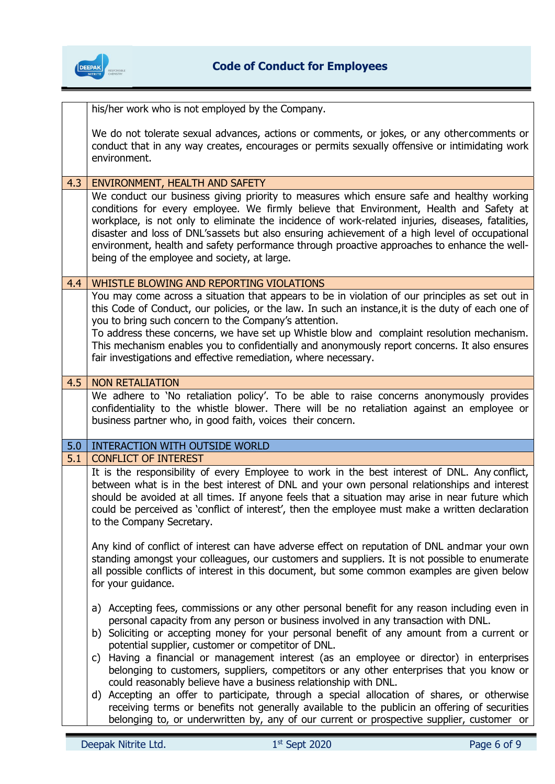

|     | his/her work who is not employed by the Company.                                                                                                                                                                                                                                                                                                                                                                                                                                                                                                                                                                                                                                                                                                                                                      |
|-----|-------------------------------------------------------------------------------------------------------------------------------------------------------------------------------------------------------------------------------------------------------------------------------------------------------------------------------------------------------------------------------------------------------------------------------------------------------------------------------------------------------------------------------------------------------------------------------------------------------------------------------------------------------------------------------------------------------------------------------------------------------------------------------------------------------|
|     | We do not tolerate sexual advances, actions or comments, or jokes, or any othercomments or<br>conduct that in any way creates, encourages or permits sexually offensive or intimidating work<br>environment.                                                                                                                                                                                                                                                                                                                                                                                                                                                                                                                                                                                          |
|     |                                                                                                                                                                                                                                                                                                                                                                                                                                                                                                                                                                                                                                                                                                                                                                                                       |
| 4.3 | ENVIRONMENT, HEALTH AND SAFETY<br>We conduct our business giving priority to measures which ensure safe and healthy working<br>conditions for every employee. We firmly believe that Environment, Health and Safety at<br>workplace, is not only to eliminate the incidence of work-related injuries, diseases, fatalities,<br>disaster and loss of DNL'sassets but also ensuring achievement of a high level of occupational<br>environment, health and safety performance through proactive approaches to enhance the well-<br>being of the employee and society, at large.                                                                                                                                                                                                                         |
| 4.4 | WHISTLE BLOWING AND REPORTING VIOLATIONS                                                                                                                                                                                                                                                                                                                                                                                                                                                                                                                                                                                                                                                                                                                                                              |
|     | You may come across a situation that appears to be in violation of our principles as set out in<br>this Code of Conduct, our policies, or the law. In such an instance, it is the duty of each one of<br>you to bring such concern to the Company's attention.<br>To address these concerns, we have set up Whistle blow and complaint resolution mechanism.<br>This mechanism enables you to confidentially and anonymously report concerns. It also ensures<br>fair investigations and effective remediation, where necessary.                                                                                                                                                                                                                                                                      |
| 4.5 | <b>NON RETALIATION</b>                                                                                                                                                                                                                                                                                                                                                                                                                                                                                                                                                                                                                                                                                                                                                                                |
|     | We adhere to 'No retaliation policy'. To be able to raise concerns anonymously provides<br>confidentiality to the whistle blower. There will be no retaliation against an employee or                                                                                                                                                                                                                                                                                                                                                                                                                                                                                                                                                                                                                 |
|     | business partner who, in good faith, voices their concern.                                                                                                                                                                                                                                                                                                                                                                                                                                                                                                                                                                                                                                                                                                                                            |
| 5.0 | <b>INTERACTION WITH OUTSIDE WORLD</b>                                                                                                                                                                                                                                                                                                                                                                                                                                                                                                                                                                                                                                                                                                                                                                 |
| 5.1 | <b>CONFLICT OF INTEREST</b>                                                                                                                                                                                                                                                                                                                                                                                                                                                                                                                                                                                                                                                                                                                                                                           |
|     | It is the responsibility of every Employee to work in the best interest of DNL. Any conflict,<br>between what is in the best interest of DNL and your own personal relationships and interest<br>should be avoided at all times. If anyone feels that a situation may arise in near future which<br>could be perceived as 'conflict of interest', then the employee must make a written declaration<br>to the Company Secretary.                                                                                                                                                                                                                                                                                                                                                                      |
|     | Any kind of conflict of interest can have adverse effect on reputation of DNL andmar your own<br>standing amongst your colleagues, our customers and suppliers. It is not possible to enumerate<br>all possible conflicts of interest in this document, but some common examples are given below<br>for your guidance.                                                                                                                                                                                                                                                                                                                                                                                                                                                                                |
|     | a) Accepting fees, commissions or any other personal benefit for any reason including even in<br>personal capacity from any person or business involved in any transaction with DNL.<br>b) Soliciting or accepting money for your personal benefit of any amount from a current or<br>potential supplier, customer or competitor of DNL.<br>Having a financial or management interest (as an employee or director) in enterprises<br>C)<br>belonging to customers, suppliers, competitors or any other enterprises that you know or<br>could reasonably believe have a business relationship with DNL.<br>d) Accepting an offer to participate, through a special allocation of shares, or otherwise<br>receiving terms or benefits not generally available to the publicin an offering of securities |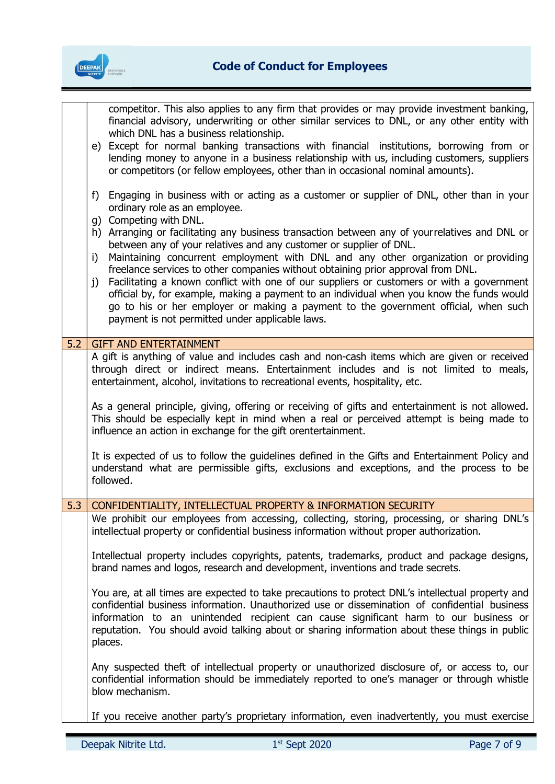

competitor. This also applies to any firm that provides or may provide investment banking, financial advisory, underwriting or other similar services to DNL, or any other entity with which DNL has a business relationship. e) Except for normal banking transactions with financial institutions, borrowing from or lending money to anyone in a business relationship with us, including customers, suppliers or competitors (or fellow employees, other than in occasional nominal amounts). f) Engaging in business with or acting as a customer or supplier of DNL, other than in your ordinary role as an employee. g) Competing with DNL. h) Arranging or facilitating any business transaction between any of your relatives and DNL or between any of your relatives and any customer or supplier of DNL. i) Maintaining concurrent employment with DNL and any other organization or providing freelance services to other companies without obtaining prior approval from DNL. j) Facilitating a known conflict with one of our suppliers or customers or with a government official by, for example, making a payment to an individual when you know the funds would go to his or her employer or making a payment to the government official, when such payment is not permitted under applicable laws. 5.2 GIFT AND ENTERTAINMENT A gift is anything of value and includes cash and non-cash items which are given or received through direct or indirect means. Entertainment includes and is not limited to meals, entertainment, alcohol, invitations to recreational events, hospitality, etc. As a general principle, giving, offering or receiving of gifts and entertainment is not allowed. This should be especially kept in mind when a real or perceived attempt is being made to influence an action in exchange for the gift or entertainment. It is expected of us to follow the guidelines defined in the Gifts and Entertainment Policy and understand what are permissible gifts, exclusions and exceptions, and the process to be followed. 5.3 CONFIDENTIALITY, INTELLECTUAL PROPERTY & INFORMATION SECURITY We prohibit our employees from accessing, collecting, storing, processing, or sharing DNL's intellectual property or confidential business information without proper authorization. Intellectual property includes copyrights, patents, trademarks, product and package designs, brand names and logos, research and development, inventions and trade secrets. You are, at all times are expected to take precautions to protect DNL's intellectual property and confidential business information. Unauthorized use or dissemination of confidential business information to an unintended recipient can cause significant harm to our business or reputation. You should avoid talking about or sharing information about these things in public places. Any suspected theft of intellectual property or unauthorized disclosure of, or access to, our confidential information should be immediately reported to one's manager or through whistle blow mechanism.

If you receive another party's proprietary information, even inadvertently, you must exercise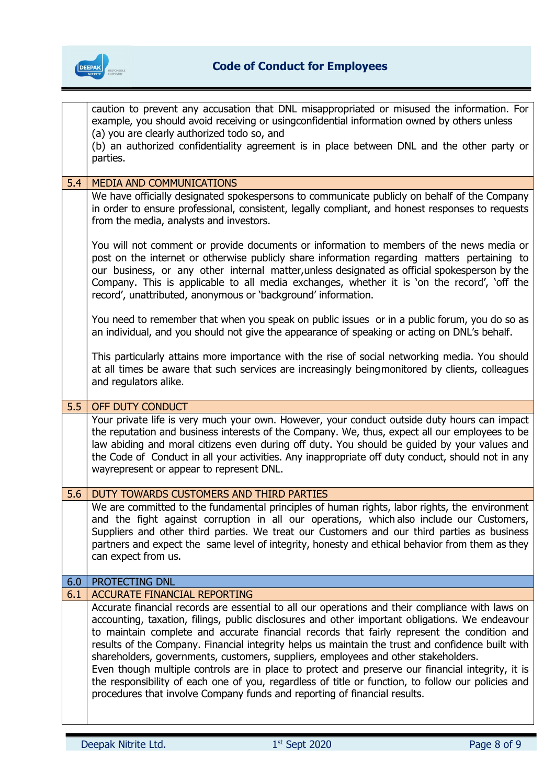

|     | caution to prevent any accusation that DNL misappropriated or misused the information. For<br>example, you should avoid receiving or usingconfidential information owned by others unless<br>(a) you are clearly authorized todo so, and<br>(b) an authorized confidentiality agreement is in place between DNL and the other party or<br>parties.                                                                                                                                                                                                                                                                                                                                                                                                                                    |
|-----|---------------------------------------------------------------------------------------------------------------------------------------------------------------------------------------------------------------------------------------------------------------------------------------------------------------------------------------------------------------------------------------------------------------------------------------------------------------------------------------------------------------------------------------------------------------------------------------------------------------------------------------------------------------------------------------------------------------------------------------------------------------------------------------|
| 5.4 |                                                                                                                                                                                                                                                                                                                                                                                                                                                                                                                                                                                                                                                                                                                                                                                       |
|     | <b>MEDIA AND COMMUNICATIONS</b><br>We have officially designated spokespersons to communicate publicly on behalf of the Company<br>in order to ensure professional, consistent, legally compliant, and honest responses to requests<br>from the media, analysts and investors.                                                                                                                                                                                                                                                                                                                                                                                                                                                                                                        |
|     | You will not comment or provide documents or information to members of the news media or<br>post on the internet or otherwise publicly share information regarding matters pertaining to<br>our business, or any other internal matter, unless designated as official spokesperson by the<br>Company. This is applicable to all media exchanges, whether it is 'on the record', 'off the<br>record', unattributed, anonymous or 'background' information.                                                                                                                                                                                                                                                                                                                             |
|     | You need to remember that when you speak on public issues or in a public forum, you do so as<br>an individual, and you should not give the appearance of speaking or acting on DNL's behalf.                                                                                                                                                                                                                                                                                                                                                                                                                                                                                                                                                                                          |
|     | This particularly attains more importance with the rise of social networking media. You should<br>at all times be aware that such services are increasingly being monitored by clients, colleagues<br>and regulators alike.                                                                                                                                                                                                                                                                                                                                                                                                                                                                                                                                                           |
| 5.5 | OFF DUTY CONDUCT                                                                                                                                                                                                                                                                                                                                                                                                                                                                                                                                                                                                                                                                                                                                                                      |
|     | Your private life is very much your own. However, your conduct outside duty hours can impact<br>the reputation and business interests of the Company. We, thus, expect all our employees to be<br>law abiding and moral citizens even during off duty. You should be guided by your values and<br>the Code of Conduct in all your activities. Any inappropriate off duty conduct, should not in any<br>wayrepresent or appear to represent DNL.                                                                                                                                                                                                                                                                                                                                       |
| 5.6 | DUTY TOWARDS CUSTOMERS AND THIRD PARTIES                                                                                                                                                                                                                                                                                                                                                                                                                                                                                                                                                                                                                                                                                                                                              |
|     | We are committed to the fundamental principles of human rights, labor rights, the environment<br>and the fight against corruption in all our operations, which also include our Customers,<br>Suppliers and other third parties. We treat our Customers and our third parties as business<br>partners and expect the same level of integrity, honesty and ethical behavior from them as they<br>can expect from us.                                                                                                                                                                                                                                                                                                                                                                   |
| 6.0 | PROTECTING DNL                                                                                                                                                                                                                                                                                                                                                                                                                                                                                                                                                                                                                                                                                                                                                                        |
| 6.1 | <b>ACCURATE FINANCIAL REPORTING</b>                                                                                                                                                                                                                                                                                                                                                                                                                                                                                                                                                                                                                                                                                                                                                   |
|     | Accurate financial records are essential to all our operations and their compliance with laws on<br>accounting, taxation, filings, public disclosures and other important obligations. We endeavour<br>to maintain complete and accurate financial records that fairly represent the condition and<br>results of the Company. Financial integrity helps us maintain the trust and confidence built with<br>shareholders, governments, customers, suppliers, employees and other stakeholders.<br>Even though multiple controls are in place to protect and preserve our financial integrity, it is<br>the responsibility of each one of you, regardless of title or function, to follow our policies and<br>procedures that involve Company funds and reporting of financial results. |